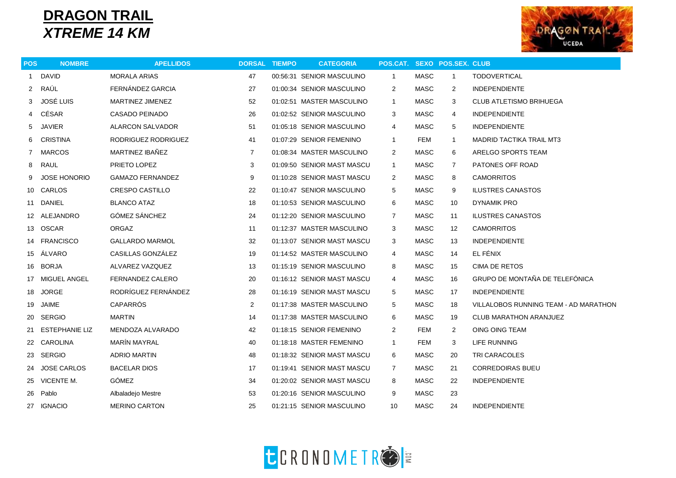## **DRAGON TRAIL** *XTREME 14 KM*



| <b>POS</b>     | <b>NOMBRE</b>       | <b>APELLIDOS</b>        | <b>DORSAL TIEMPO</b> | <b>CATEGORIA</b>           | POS.CAT. SEXO POS.SEX. CLUB |                                          |                   |                                       |
|----------------|---------------------|-------------------------|----------------------|----------------------------|-----------------------------|------------------------------------------|-------------------|---------------------------------------|
| $\mathbf{1}$   | <b>DAVID</b>        | <b>MORALA ARIAS</b>     | 47                   | 00:56:31 SENIOR MASCULINO  | $\mathbf{1}$                | <b>MASC</b>                              | $\mathbf{1}$      | <b>TODOVERTICAL</b>                   |
| $\overline{2}$ | RAÚL                | FERNÁNDEZ GARCIA        | 27                   | 01:00:34 SENIOR MASCULINO  | 2                           | <b>MASC</b>                              | 2                 | <b>INDEPENDIENTE</b>                  |
| 3              | JOSÉ LUIS           | <b>MARTINEZ JIMENEZ</b> | 52                   | 01:02:51 MASTER MASCULINO  | $\mathbf{1}$                | MASC                                     | 3                 | <b>CLUB ATLETISMO BRIHUEGA</b>        |
| 4              | CÉSAR               | CASADO PEINADO          | 26                   | 01:02:52 SENIOR MASCULINO  | 3                           | <b>MASC</b>                              | 4                 | <b>INDEPENDIENTE</b>                  |
| 5              | <b>JAVIER</b>       | ALARCON SALVADOR        | 51                   | 01:05:18 SENIOR MASCULINO  | 4                           | <b>MASC</b><br><b>INDEPENDIENTE</b><br>5 |                   |                                       |
| 6              | CRISTINA            | RODRIGUEZ RODRIGUEZ     | 41                   | 01:07:29 SENIOR FEMENINO   | $\mathbf{1}$                | FEM                                      | $\mathbf{1}$      | <b>MADRID TACTIKA TRAIL MT3</b>       |
| 7              | <b>MARCOS</b>       | MARTINEZ IBAÑEZ         | $\overline{7}$       | 01:08:34 MASTER MASCULINO  | 2                           | <b>MASC</b>                              | 6                 | ARELGO SPORTS TEAM                    |
| 8              | <b>RAUL</b>         | PRIETO LOPEZ            | 3                    | 01:09:50 SENIOR MAST MASCU | $\mathbf{1}$                | MASC                                     | $\overline{7}$    | PATONES OFF ROAD                      |
| 9              | <b>JOSE HONORIO</b> | <b>GAMAZO FERNANDEZ</b> | 9                    | 01:10:28 SENIOR MAST MASCU | $\overline{2}$              | MASC                                     | 8                 | <b>CAMORRITOS</b>                     |
|                | 10 CARLOS           | <b>CRESPO CASTILLO</b>  | 22                   | 01:10:47 SENIOR MASCULINO  | 5                           | <b>MASC</b>                              | 9                 | <b>ILUSTRES CANASTOS</b>              |
|                | 11 DANIEL           | <b>BLANCO ATAZ</b>      | 18                   | 01:10:53 SENIOR MASCULINO  | 6                           | <b>MASC</b>                              | 10                | DYNAMIK PRO                           |
|                | 12 ALEJANDRO        | GÓMEZ SÁNCHEZ           | 24                   | 01:12:20 SENIOR MASCULINO  | $\overline{7}$              | MASC                                     | 11                | <b>ILUSTRES CANASTOS</b>              |
|                | 13 OSCAR            | <b>ORGAZ</b>            | 11                   | 01:12:37 MASTER MASCULINO  | 3                           | <b>MASC</b>                              | $12 \overline{ }$ | <b>CAMORRITOS</b>                     |
|                | 14 FRANCISCO        | <b>GALLARDO MARMOL</b>  | 32                   | 01:13:07 SENIOR MAST MASCU | 3                           | MASC                                     | 13                | <b>INDEPENDIENTE</b>                  |
|                | 15 ÁLVARO           | CASILLAS GONZÁLEZ       | 19                   | 01:14:52 MASTER MASCULINO  | 4                           | MASC                                     | 14                | EL FÉNIX                              |
| 16             | <b>BORJA</b>        | ALVAREZ VAZQUEZ         | 13                   | 01:15:19 SENIOR MASCULINO  | 8                           | <b>MASC</b>                              | 15                | CIMA DE RETOS                         |
|                | 17 MIGUEL ANGEL     | FERNANDEZ CALERO        | 20                   | 01:16:12 SENIOR MAST MASCU | 4                           | <b>MASC</b>                              | 16                | GRUPO DE MONTAÑA DE TELEFÓNICA        |
|                | 18 JORGE            | RODRÍGUEZ FERNÁNDEZ     | 28                   | 01:16:19 SENIOR MAST MASCU | 5                           | <b>MASC</b>                              | 17                | <b>INDEPENDIENTE</b>                  |
| 19             | JAIME               | CAPARRÓS                | 2                    | 01:17:38 MASTER MASCULINO  | 5                           | MASC                                     | 18                | VILLALOBOS RUNNING TEAM - AD MARATHON |
|                | 20 SERGIO           | <b>MARTIN</b>           | 14                   | 01:17:38 MASTER MASCULINO  | 6                           | <b>MASC</b>                              | 19                | <b>CLUB MARATHON ARANJUEZ</b>         |
| 21             | ESTEPHANIE LIZ      | MENDOZA ALVARADO        | 42                   | 01:18:15 SENIOR FEMENINO   | $\overline{2}$              | FEM                                      | 2                 | OING OING TEAM                        |
|                | 22 CAROLINA         | MARÍN MAYRAL            | 40                   | 01:18:18 MASTER FEMENINO   | $\mathbf{1}$                | <b>FEM</b>                               | 3                 | LIFE RUNNING                          |
|                | 23 SERGIO           | <b>ADRIO MARTIN</b>     | 48                   | 01:18:32 SENIOR MAST MASCU | 6                           | <b>MASC</b>                              | 20                | TRI CARACOLES                         |
|                | 24 JOSE CARLOS      | <b>BACELAR DIOS</b>     | 17                   | 01:19:41 SENIOR MAST MASCU | 7                           | MASC                                     | 21                | <b>CORREDOIRAS BUEU</b>               |
|                | 25 VICENTE M.       | GÓMEZ                   | 34                   | 01:20:02 SENIOR MAST MASCU | 8                           | MASC                                     | 22                | <b>INDEPENDIENTE</b>                  |
|                | 26 Pablo            | Albaladejo Mestre       | 53                   | 01:20:16 SENIOR MASCULINO  | 9                           | <b>MASC</b>                              | 23                |                                       |
|                | 27 IGNACIO          | <b>MERINO CARTON</b>    | 25                   | 01:21:15 SENIOR MASCULINO  | 10                          | MASC                                     | 24                | <b>INDEPENDIENTE</b>                  |
|                |                     |                         |                      |                            |                             |                                          |                   |                                       |